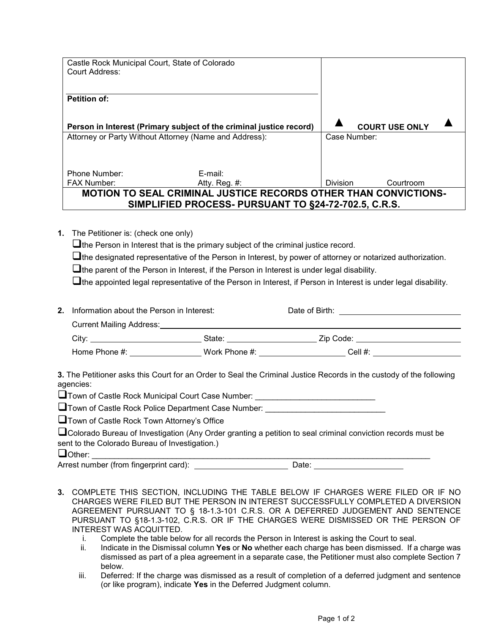| Castle Rock Municipal Court, State of Colorado                      |                                                                        |                 |                       |  |
|---------------------------------------------------------------------|------------------------------------------------------------------------|-----------------|-----------------------|--|
| Court Address:                                                      |                                                                        |                 |                       |  |
|                                                                     |                                                                        |                 |                       |  |
| <b>Petition of:</b>                                                 |                                                                        |                 |                       |  |
|                                                                     |                                                                        |                 |                       |  |
| Person in Interest (Primary subject of the criminal justice record) |                                                                        |                 | <b>COURT USE ONLY</b> |  |
| Attorney or Party Without Attorney (Name and Address):              |                                                                        | Case Number:    |                       |  |
|                                                                     |                                                                        |                 |                       |  |
|                                                                     |                                                                        |                 |                       |  |
| Phone Number:                                                       | E-mail:                                                                |                 |                       |  |
| <b>FAX Number:</b>                                                  | Atty. Reg. $#$ :                                                       | <b>Division</b> | Courtroom             |  |
|                                                                     | <b>MOTION TO SEAL CRIMINAL JUSTICE RECORDS OTHER THAN CONVICTIONS-</b> |                 |                       |  |
| SIMPLIFIED PROCESS- PURSUANT TO §24-72-702.5, C.R.S.                |                                                                        |                 |                       |  |

**1.** The Petitioner is: (check one only)

 $\Box$  the Person in Interest that is the primary subject of the criminal justice record.

 $\Box$  the designated representative of the Person in Interest, by power of attorney or notarized authorization.

 $\Box$  the parent of the Person in Interest, if the Person in Interest is under legal disability.

 $\Box$  the appointed legal representative of the Person in Interest, if Person in Interest is under legal disability.

| Information about the Person in Interest: |               | Date of Birth: |  |  |
|-------------------------------------------|---------------|----------------|--|--|
| <b>Current Mailing Address:</b>           |               |                |  |  |
| Citv:                                     | State:        | Zip Code:      |  |  |
| Home Phone $#$ :                          | Work Phone #: | Cell $#$ :     |  |  |

**3.** The Petitioner asks this Court for an Order to Seal the Criminal Justice Records in the custody of the following agencies:

 $\Box$  Town of Castle Rock Municipal Court Case Number: \_\_\_\_\_\_\_\_\_\_\_\_\_\_\_\_\_\_\_\_\_\_\_\_\_\_\_

 $\square$  Town of Castle Rock Police Department Case Number:

**Town of Castle Rock Town Attorney's Office** 

| $\Box$ Colorado Bureau of Investigation (Any Order granting a petition to seal criminal conviction records must be |  |  |
|--------------------------------------------------------------------------------------------------------------------|--|--|
| sent to the Colorado Bureau of Investigation.)                                                                     |  |  |

Other: \_\_\_\_\_\_\_\_\_\_\_\_\_\_\_\_\_\_\_\_\_\_\_\_\_\_\_\_\_\_\_\_\_\_\_\_\_\_\_\_\_\_\_\_\_\_\_\_\_\_\_\_\_\_\_\_\_\_\_\_\_\_\_\_\_\_\_\_\_\_\_\_\_\_\_\_

Arrest number (from fingerprint card): \_\_\_\_\_\_\_\_\_\_\_\_\_\_\_\_\_\_\_\_\_\_\_\_\_\_\_\_\_\_\_ Date:

- **3.** COMPLETE THIS SECTION, INCLUDING THE TABLE BELOW IF CHARGES WERE FILED OR IF NO CHARGES WERE FILED BUT THE PERSON IN INTEREST SUCCESSFULLY COMPLETED A DIVERSION AGREEMENT PURSUANT TO § 18-1.3-101 C.R.S. OR A DEFERRED JUDGEMENT AND SENTENCE PURSUANT TO §18-1.3-102, C.R.S. OR IF THE CHARGES WERE DISMISSED OR THE PERSON OF INTEREST WAS ACQUITTED.
	- i. Complete the table below for all records the Person in Interest is asking the Court to seal.
	- ii. Indicate in the Dismissal column **Yes** or **No** whether each charge has been dismissed. If a charge was dismissed as part of a plea agreement in a separate case, the Petitioner must also complete Section 7 below.
	- iii. Deferred: If the charge was dismissed as a result of completion of a deferred judgment and sentence (or like program), indicate **Yes** in the Deferred Judgment column.